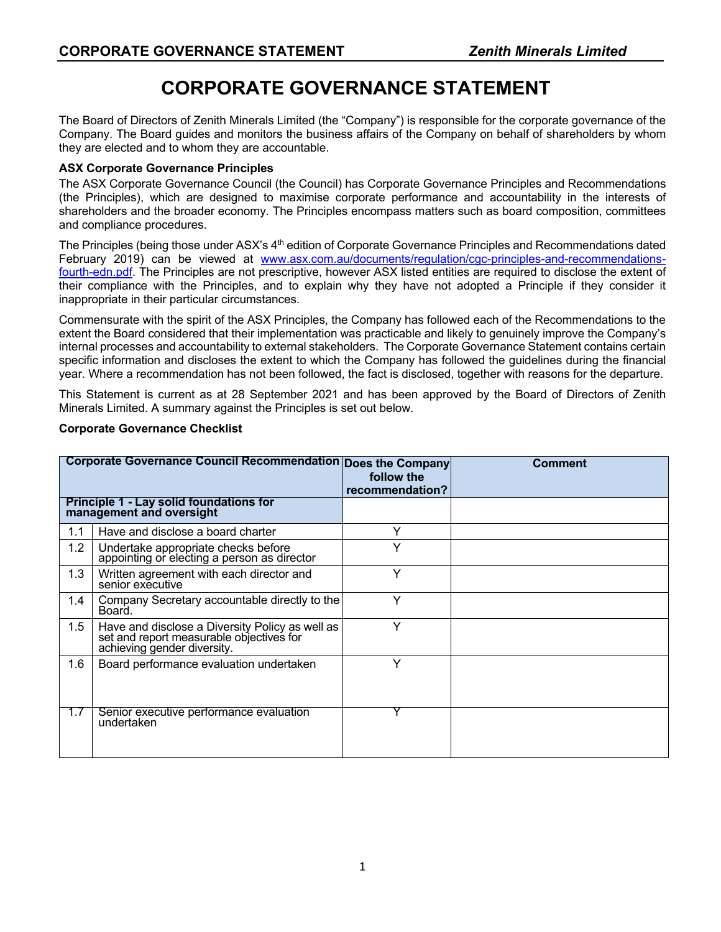# **CORPORATE GOVERNANCE STATEMENT**

The Board of Directors of Zenith Minerals Limited (the "Company") is responsible for the corporate governance of the Company. The Board guides and monitors the business affairs of the Company on behalf of shareholders by whom they are elected and to whom they are accountable.

# **ASX Corporate Governance Principles**

The ASX Corporate Governance Council (the Council) has Corporate Governance Principles and Recommendations (the Principles), which are designed to maximise corporate performance and accountability in the interests of shareholders and the broader economy. The Principles encompass matters such as board composition, committees and compliance procedures.

The Principles (being those under ASX's 4<sup>th</sup> edition of Corporate Governance Principles and Recommendations dated February 2019) can be viewed at www.asx.com.au/documents/regulation/cgc-principles-and-recommendationsfourth-edn.pdf. The Principles are not prescriptive, however ASX listed entities are required to disclose the extent of their compliance with the Principles, and to explain why they have not adopted a Principle if they consider it inappropriate in their particular circumstances.

Commensurate with the spirit of the ASX Principles, the Company has followed each of the Recommendations to the extent the Board considered that their implementation was practicable and likely to genuinely improve the Company's internal processes and accountability to external stakeholders. The Corporate Governance Statement contains certain specific information and discloses the extent to which the Company has followed the guidelines during the financial year. Where a recommendation has not been followed, the fact is disclosed, together with reasons for the departure.

This Statement is current as at 28 September 2021 and has been approved by the Board of Directors of Zenith Minerals Limited. A summary against the Principles is set out below.

|     | Corporate Governance Council Recommendation Does the Company                                                               | follow the<br>recommendation? | <b>Comment</b> |
|-----|----------------------------------------------------------------------------------------------------------------------------|-------------------------------|----------------|
|     | Principle 1 - Lay solid foundations for<br>management and oversight                                                        |                               |                |
| 1.1 | Have and disclose a board charter                                                                                          | Y                             |                |
| 1.2 | Undertake appropriate checks before<br>appointing or electing a person as director                                         | v                             |                |
| 1.3 | Written agreement with each director and<br>senior executive                                                               | Y                             |                |
| 1.4 | Company Secretary accountable directly to the<br>Board.                                                                    | Y                             |                |
| 1.5 | Have and disclose a Diversity Policy as well as<br>set and report measurable objectives for<br>achieving gender diversity. | Y                             |                |
| 1.6 | Board performance evaluation undertaken                                                                                    | Y                             |                |
| 1.7 | Senior executive performance evaluation<br>undertaken                                                                      |                               |                |

# **Corporate Governance Checklist**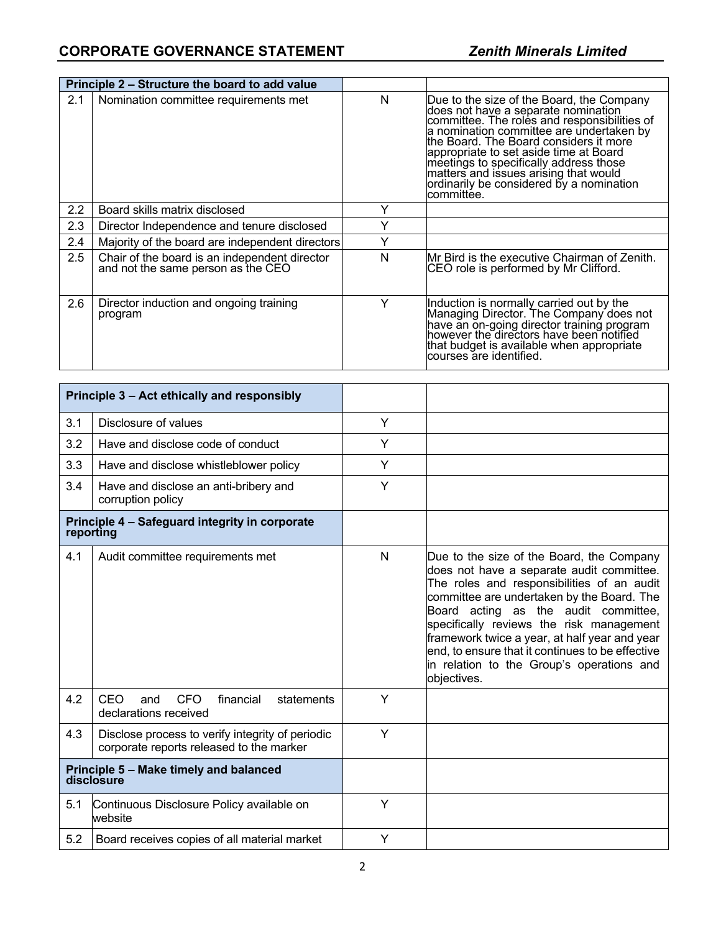|         | Principle 2 – Structure the board to add value                                      |   |                                                                                                                                                                                                                                                                                                                                                                                                                |
|---------|-------------------------------------------------------------------------------------|---|----------------------------------------------------------------------------------------------------------------------------------------------------------------------------------------------------------------------------------------------------------------------------------------------------------------------------------------------------------------------------------------------------------------|
| 2.1     | Nomination committee requirements met                                               | N | Due to the size of the Board, the Company<br>does not have a separate nomination<br>committee. The roles and responsibilities of<br>a nomination committee are undertaken by<br>the Board. The Board considers it more<br>appropriate to set aside time at Board<br>meetings to specifically address those<br>matters and issues arising that would<br>ordinarily be considered by a nomination<br>lcommittée. |
| 2.2     | Board skills matrix disclosed                                                       | Υ |                                                                                                                                                                                                                                                                                                                                                                                                                |
| 2.3     | Director Independence and tenure disclosed                                          | Y |                                                                                                                                                                                                                                                                                                                                                                                                                |
| 2.4     | Majority of the board are independent directors                                     | Υ |                                                                                                                                                                                                                                                                                                                                                                                                                |
| $2.5\,$ | Chair of the board is an independent director<br>and not the same person as the CEO | N | IMr Bird is the executive Chairman of Zenith.<br>CEO role is performed by Mr Clifford.                                                                                                                                                                                                                                                                                                                         |
| 2.6     | Director induction and ongoing training<br>program                                  | Υ | Induction is normally carried out by the<br>Managing Director. The Company does not<br>have an on-going director training program<br>however the directors have been notified<br>that budget is available when appropriate<br>courses are identified.                                                                                                                                                          |

|                                                      | Principle 3 - Act ethically and responsibly                                                  |   |                                                                                                                                                                                                                                                                                                                                                                                                                                         |
|------------------------------------------------------|----------------------------------------------------------------------------------------------|---|-----------------------------------------------------------------------------------------------------------------------------------------------------------------------------------------------------------------------------------------------------------------------------------------------------------------------------------------------------------------------------------------------------------------------------------------|
| 3.1                                                  | Disclosure of values                                                                         | Y |                                                                                                                                                                                                                                                                                                                                                                                                                                         |
| 3.2                                                  | Have and disclose code of conduct                                                            | Y |                                                                                                                                                                                                                                                                                                                                                                                                                                         |
| 3.3                                                  | Have and disclose whistleblower policy                                                       | Y |                                                                                                                                                                                                                                                                                                                                                                                                                                         |
| 3.4                                                  | Have and disclose an anti-bribery and<br>corruption policy                                   | Y |                                                                                                                                                                                                                                                                                                                                                                                                                                         |
| reporting                                            | Principle 4 - Safeguard integrity in corporate                                               |   |                                                                                                                                                                                                                                                                                                                                                                                                                                         |
| 4.1                                                  | Audit committee requirements met                                                             | N | Due to the size of the Board, the Company<br>does not have a separate audit committee.<br>The roles and responsibilities of an audit<br>committee are undertaken by the Board. The<br>Board acting as the audit committee,<br>specifically reviews the risk management<br>framework twice a year, at half year and year<br>end, to ensure that it continues to be effective<br>in relation to the Group's operations and<br>objectives. |
| 4.2                                                  | CEO<br><b>CFO</b><br>financial<br>statements<br>and<br>declarations received                 | Y |                                                                                                                                                                                                                                                                                                                                                                                                                                         |
| 4.3                                                  | Disclose process to verify integrity of periodic<br>corporate reports released to the marker | Y |                                                                                                                                                                                                                                                                                                                                                                                                                                         |
| Principle 5 - Make timely and balanced<br>disclosure |                                                                                              |   |                                                                                                                                                                                                                                                                                                                                                                                                                                         |
| 5.1                                                  | Continuous Disclosure Policy available on<br>website                                         | Y |                                                                                                                                                                                                                                                                                                                                                                                                                                         |
| 5.2                                                  | Board receives copies of all material market                                                 | Y |                                                                                                                                                                                                                                                                                                                                                                                                                                         |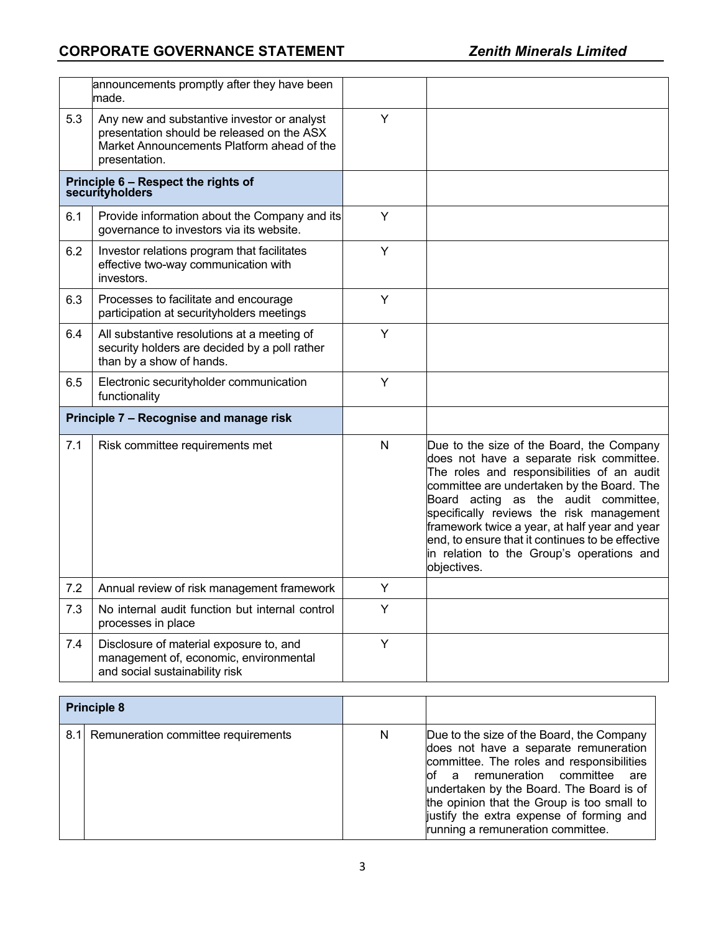|                                         | announcements promptly after they have been<br>made.                                                                                                     |              |                                                                                                                                                                                                                                                                                                                                                                                                                                        |
|-----------------------------------------|----------------------------------------------------------------------------------------------------------------------------------------------------------|--------------|----------------------------------------------------------------------------------------------------------------------------------------------------------------------------------------------------------------------------------------------------------------------------------------------------------------------------------------------------------------------------------------------------------------------------------------|
| 5.3                                     | Any new and substantive investor or analyst<br>presentation should be released on the ASX<br>Market Announcements Platform ahead of the<br>presentation. | Y            |                                                                                                                                                                                                                                                                                                                                                                                                                                        |
|                                         | Principle 6 - Respect the rights of<br>securityholders                                                                                                   |              |                                                                                                                                                                                                                                                                                                                                                                                                                                        |
| 6.1                                     | Provide information about the Company and its<br>governance to investors via its website.                                                                | Y            |                                                                                                                                                                                                                                                                                                                                                                                                                                        |
| 6.2                                     | Investor relations program that facilitates<br>effective two-way communication with<br>investors.                                                        | Y            |                                                                                                                                                                                                                                                                                                                                                                                                                                        |
| 6.3                                     | Processes to facilitate and encourage<br>participation at securityholders meetings                                                                       | Y            |                                                                                                                                                                                                                                                                                                                                                                                                                                        |
| 6.4                                     | All substantive resolutions at a meeting of<br>security holders are decided by a poll rather<br>than by a show of hands.                                 | Y            |                                                                                                                                                                                                                                                                                                                                                                                                                                        |
| 6.5                                     | Electronic securityholder communication<br>functionality                                                                                                 | Y            |                                                                                                                                                                                                                                                                                                                                                                                                                                        |
| Principle 7 - Recognise and manage risk |                                                                                                                                                          |              |                                                                                                                                                                                                                                                                                                                                                                                                                                        |
| 7.1                                     | Risk committee requirements met                                                                                                                          | $\mathsf{N}$ | Due to the size of the Board, the Company<br>does not have a separate risk committee.<br>The roles and responsibilities of an audit<br>committee are undertaken by the Board. The<br>Board acting as the audit committee,<br>specifically reviews the risk management<br>framework twice a year, at half year and year<br>end, to ensure that it continues to be effective<br>in relation to the Group's operations and<br>objectives. |
| 7.2                                     | Annual review of risk management framework                                                                                                               | Y            |                                                                                                                                                                                                                                                                                                                                                                                                                                        |
| 7.3                                     | No internal audit function but internal control<br>processes in place                                                                                    | Y            |                                                                                                                                                                                                                                                                                                                                                                                                                                        |
| 7.4                                     | Disclosure of material exposure to, and<br>management of, economic, environmental<br>and social sustainability risk                                      | Y            |                                                                                                                                                                                                                                                                                                                                                                                                                                        |

| <b>Principle 8</b> |                                         |   |                                                                                                                                                                                                                                                                                                                                                  |
|--------------------|-----------------------------------------|---|--------------------------------------------------------------------------------------------------------------------------------------------------------------------------------------------------------------------------------------------------------------------------------------------------------------------------------------------------|
|                    | 8.1 Remuneration committee requirements | N | Due to the size of the Board, the Company<br>does not have a separate remuneration<br>committee. The roles and responsibilities<br>of a remuneration committee<br>are<br>undertaken by the Board. The Board is of<br>the opinion that the Group is too small to<br>justify the extra expense of forming and<br>running a remuneration committee. |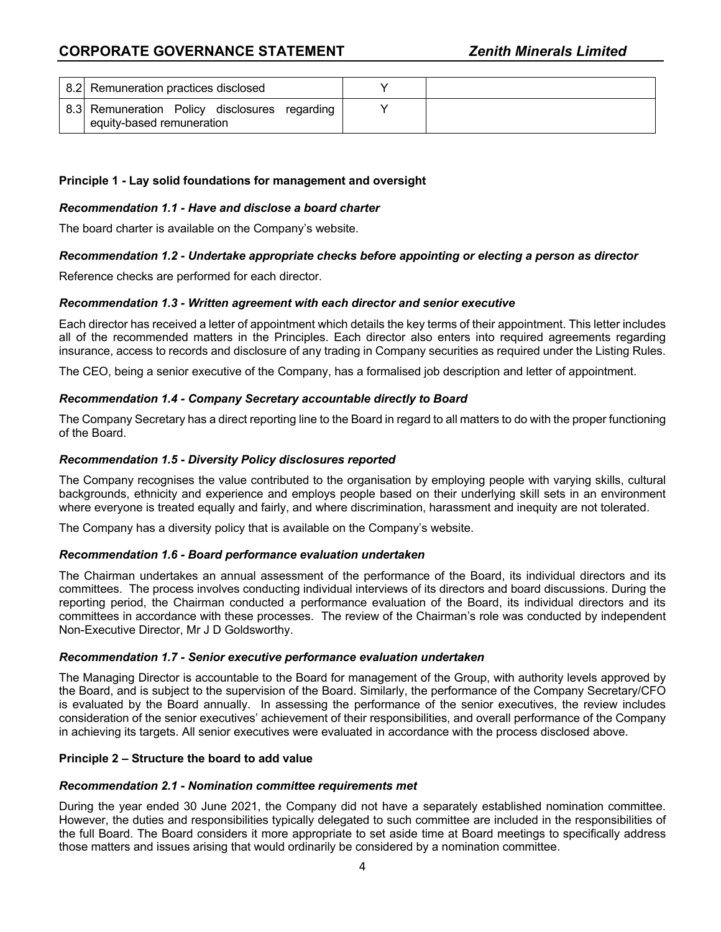| 8.2 Remuneration practices disclosed                                       |  |
|----------------------------------------------------------------------------|--|
| 8.3 Remuneration Policy disclosures regarding<br>equity-based remuneration |  |

# **Principle 1 - Lay solid foundations for management and oversight**

#### *Recommendation 1.1 - Have and disclose a board charter*

The board charter is available on the Company's website.

## *Recommendation 1.2 - Undertake appropriate checks before appointing or electing a person as director*

Reference checks are performed for each director.

#### *Recommendation 1.3 - Written agreement with each director and senior executive*

Each director has received a letter of appointment which details the key terms of their appointment. This letter includes all of the recommended matters in the Principles. Each director also enters into required agreements regarding insurance, access to records and disclosure of any trading in Company securities as required under the Listing Rules.

The CEO, being a senior executive of the Company, has a formalised job description and letter of appointment.

## *Recommendation 1.4 - Company Secretary accountable directly to Board*

The Company Secretary has a direct reporting line to the Board in regard to all matters to do with the proper functioning of the Board.

## *Recommendation 1.5 - Diversity Policy disclosures reported*

The Company recognises the value contributed to the organisation by employing people with varying skills, cultural backgrounds, ethnicity and experience and employs people based on their underlying skill sets in an environment where everyone is treated equally and fairly, and where discrimination, harassment and inequity are not tolerated.

The Company has a diversity policy that is available on the Company's website.

#### *Recommendation 1.6 - Board performance evaluation undertaken*

The Chairman undertakes an annual assessment of the performance of the Board, its individual directors and its committees. The process involves conducting individual interviews of its directors and board discussions. During the reporting period, the Chairman conducted a performance evaluation of the Board, its individual directors and its committees in accordance with these processes. The review of the Chairman's role was conducted by independent Non-Executive Director, Mr J D Goldsworthy.

#### *Recommendation 1.7 - Senior executive performance evaluation undertaken*

The Managing Director is accountable to the Board for management of the Group, with authority levels approved by the Board, and is subject to the supervision of the Board. Similarly, the performance of the Company Secretary/CFO is evaluated by the Board annually. In assessing the performance of the senior executives, the review includes consideration of the senior executives' achievement of their responsibilities, and overall performance of the Company in achieving its targets. All senior executives were evaluated in accordance with the process disclosed above.

#### **Principle 2 – Structure the board to add value**

#### *Recommendation 2.1 - Nomination committee requirements met*

During the year ended 30 June 2021, the Company did not have a separately established nomination committee. However, the duties and responsibilities typically delegated to such committee are included in the responsibilities of the full Board. The Board considers it more appropriate to set aside time at Board meetings to specifically address those matters and issues arising that would ordinarily be considered by a nomination committee.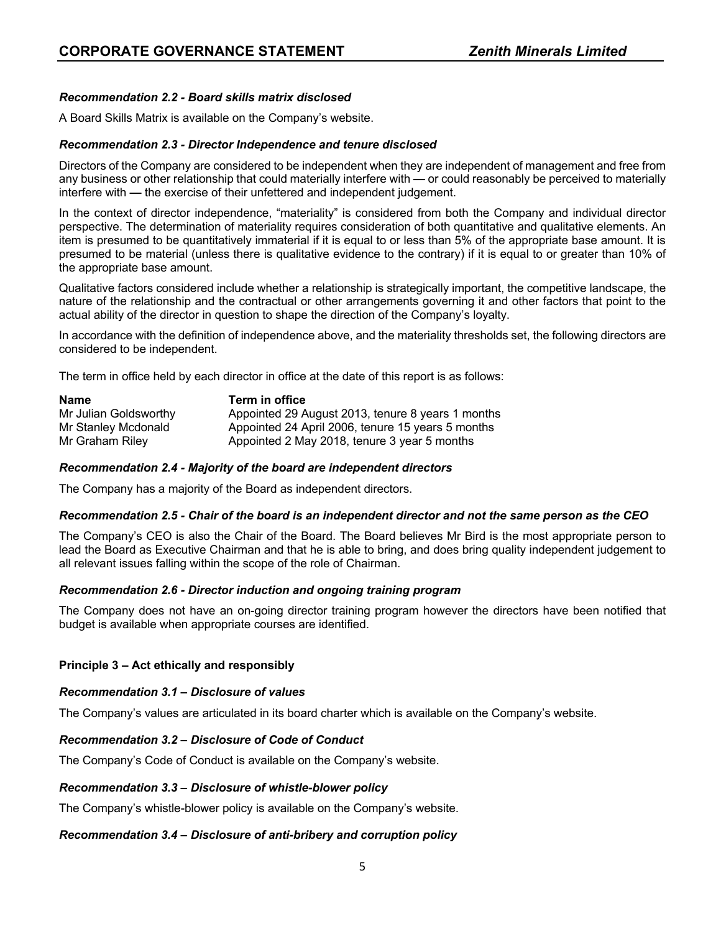# *Recommendation 2.2 - Board skills matrix disclosed*

A Board Skills Matrix is available on the Company's website.

## *Recommendation 2.3 - Director Independence and tenure disclosed*

Directors of the Company are considered to be independent when they are independent of management and free from any business or other relationship that could materially interfere with **—** or could reasonably be perceived to materially interfere with **—** the exercise of their unfettered and independent judgement.

In the context of director independence, "materiality" is considered from both the Company and individual director perspective. The determination of materiality requires consideration of both quantitative and qualitative elements. An item is presumed to be quantitatively immaterial if it is equal to or less than 5% of the appropriate base amount. It is presumed to be material (unless there is qualitative evidence to the contrary) if it is equal to or greater than 10% of the appropriate base amount.

Qualitative factors considered include whether a relationship is strategically important, the competitive landscape, the nature of the relationship and the contractual or other arrangements governing it and other factors that point to the actual ability of the director in question to shape the direction of the Company's loyalty.

In accordance with the definition of independence above, and the materiality thresholds set, the following directors are considered to be independent.

The term in office held by each director in office at the date of this report is as follows:

| <b>Name</b>           | Term in office                                    |
|-----------------------|---------------------------------------------------|
| Mr Julian Goldsworthy | Appointed 29 August 2013, tenure 8 years 1 months |
| Mr Stanley Mcdonald   | Appointed 24 April 2006, tenure 15 years 5 months |
| Mr Graham Riley       | Appointed 2 May 2018, tenure 3 year 5 months      |

#### *Recommendation 2.4 - Majority of the board are independent directors*

The Company has a majority of the Board as independent directors.

#### *Recommendation 2.5 - Chair of the board is an independent director and not the same person as the CEO*

The Company's CEO is also the Chair of the Board. The Board believes Mr Bird is the most appropriate person to lead the Board as Executive Chairman and that he is able to bring, and does bring quality independent judgement to all relevant issues falling within the scope of the role of Chairman.

# *Recommendation 2.6 - Director induction and ongoing training program*

The Company does not have an on-going director training program however the directors have been notified that budget is available when appropriate courses are identified.

# **Principle 3 – Act ethically and responsibly**

#### *Recommendation 3.1 – Disclosure of values*

The Company's values are articulated in its board charter which is available on the Company's website.

#### *Recommendation 3.2 – Disclosure of Code of Conduct*

The Company's Code of Conduct is available on the Company's website.

#### *Recommendation 3.3 – Disclosure of whistle-blower policy*

The Company's whistle-blower policy is available on the Company's website.

# *Recommendation 3.4 – Disclosure of anti-bribery and corruption policy*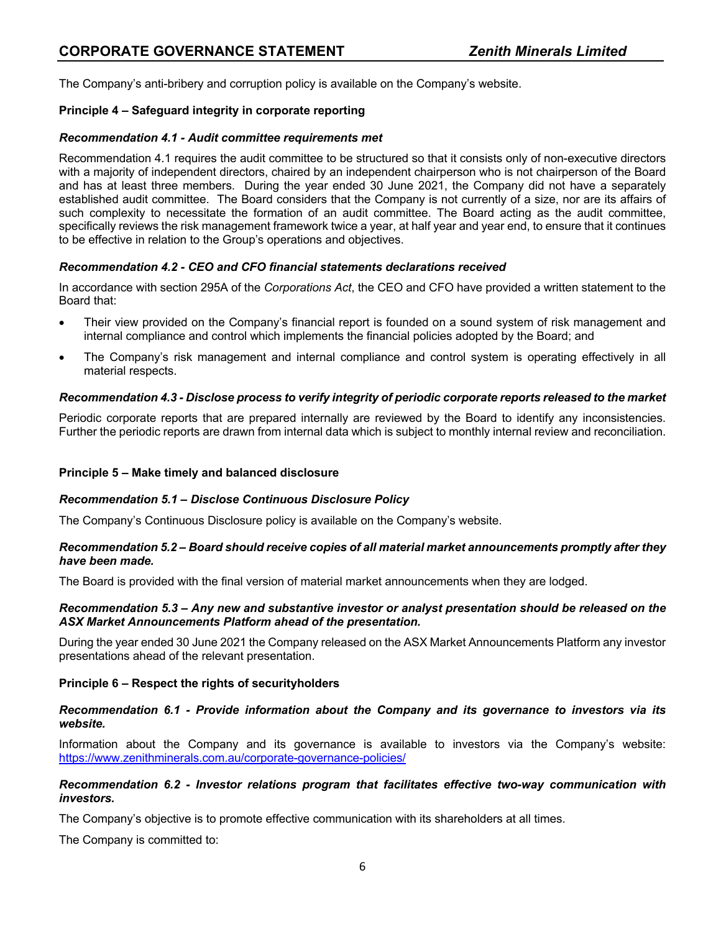The Company's anti-bribery and corruption policy is available on the Company's website.

# **Principle 4 – Safeguard integrity in corporate reporting**

# *Recommendation 4.1 - Audit committee requirements met*

Recommendation 4.1 requires the audit committee to be structured so that it consists only of non-executive directors with a majority of independent directors, chaired by an independent chairperson who is not chairperson of the Board and has at least three members. During the year ended 30 June 2021, the Company did not have a separately established audit committee. The Board considers that the Company is not currently of a size, nor are its affairs of such complexity to necessitate the formation of an audit committee. The Board acting as the audit committee, specifically reviews the risk management framework twice a year, at half year and year end, to ensure that it continues to be effective in relation to the Group's operations and objectives.

# *Recommendation 4.2 - CEO and CFO financial statements declarations received*

In accordance with section 295A of the *Corporations Act*, the CEO and CFO have provided a written statement to the Board that:

- Their view provided on the Company's financial report is founded on a sound system of risk management and internal compliance and control which implements the financial policies adopted by the Board; and
- The Company's risk management and internal compliance and control system is operating effectively in all material respects.

# *Recommendation 4.3 - Disclose process to verify integrity of periodic corporate reports released to the market*

Periodic corporate reports that are prepared internally are reviewed by the Board to identify any inconsistencies. Further the periodic reports are drawn from internal data which is subject to monthly internal review and reconciliation.

# **Principle 5 – Make timely and balanced disclosure**

# *Recommendation 5.1 – Disclose Continuous Disclosure Policy*

The Company's Continuous Disclosure policy is available on the Company's website.

## *Recommendation 5.2 – Board should receive copies of all material market announcements promptly after they have been made.*

The Board is provided with the final version of material market announcements when they are lodged.

## *Recommendation 5.3 – Any new and substantive investor or analyst presentation should be released on the ASX Market Announcements Platform ahead of the presentation.*

During the year ended 30 June 2021 the Company released on the ASX Market Announcements Platform any investor presentations ahead of the relevant presentation.

# **Principle 6 – Respect the rights of securityholders**

## *Recommendation 6.1 - Provide information about the Company and its governance to investors via its website.*

Information about the Company and its governance is available to investors via the Company's website: https://www.zenithminerals.com.au/corporate-governance-policies/

## *Recommendation 6.2 - Investor relations program that facilitates effective two-way communication with investors.*

The Company's objective is to promote effective communication with its shareholders at all times.

The Company is committed to: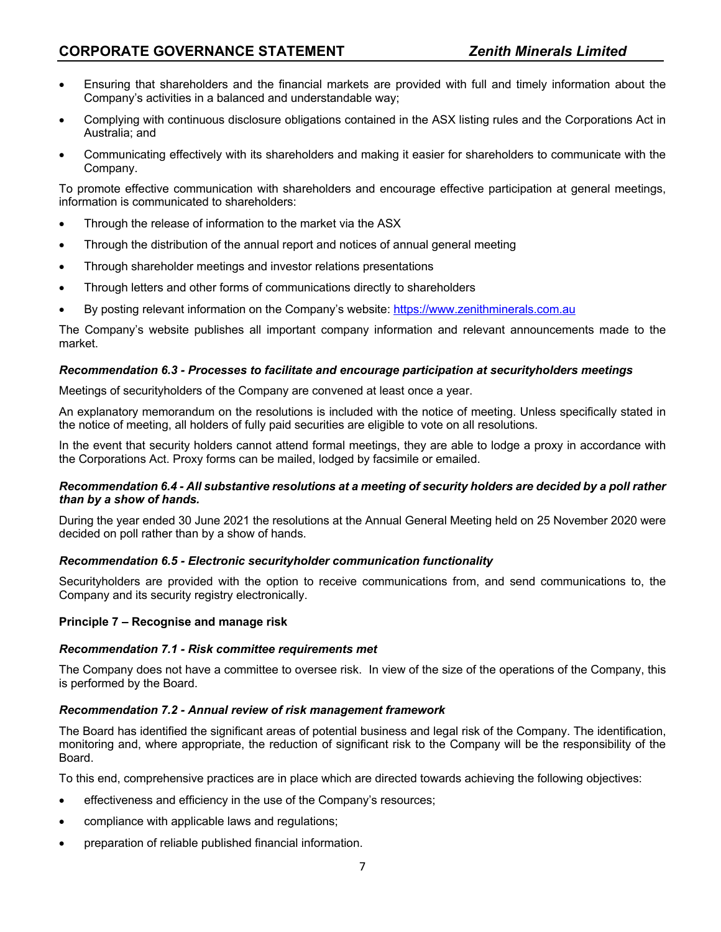- Ensuring that shareholders and the financial markets are provided with full and timely information about the Company's activities in a balanced and understandable way;
- Complying with continuous disclosure obligations contained in the ASX listing rules and the Corporations Act in Australia; and
- Communicating effectively with its shareholders and making it easier for shareholders to communicate with the Company.

To promote effective communication with shareholders and encourage effective participation at general meetings, information is communicated to shareholders:

- Through the release of information to the market via the ASX
- Through the distribution of the annual report and notices of annual general meeting
- Through shareholder meetings and investor relations presentations
- Through letters and other forms of communications directly to shareholders
- By posting relevant information on the Company's website: https://www.zenithminerals.com.au

The Company's website publishes all important company information and relevant announcements made to the market.

# *Recommendation 6.3 - Processes to facilitate and encourage participation at securityholders meetings*

Meetings of securityholders of the Company are convened at least once a year.

An explanatory memorandum on the resolutions is included with the notice of meeting. Unless specifically stated in the notice of meeting, all holders of fully paid securities are eligible to vote on all resolutions.

In the event that security holders cannot attend formal meetings, they are able to lodge a proxy in accordance with the Corporations Act. Proxy forms can be mailed, lodged by facsimile or emailed.

## *Recommendation 6.4 - All substantive resolutions at a meeting of security holders are decided by a poll rather than by a show of hands.*

During the year ended 30 June 2021 the resolutions at the Annual General Meeting held on 25 November 2020 were decided on poll rather than by a show of hands.

# *Recommendation 6.5 - Electronic securityholder communication functionality*

Securityholders are provided with the option to receive communications from, and send communications to, the Company and its security registry electronically.

# **Principle 7 – Recognise and manage risk**

# *Recommendation 7.1 - Risk committee requirements met*

The Company does not have a committee to oversee risk. In view of the size of the operations of the Company, this is performed by the Board.

# *Recommendation 7.2 - Annual review of risk management framework*

The Board has identified the significant areas of potential business and legal risk of the Company. The identification, monitoring and, where appropriate, the reduction of significant risk to the Company will be the responsibility of the Board.

To this end, comprehensive practices are in place which are directed towards achieving the following objectives:

- effectiveness and efficiency in the use of the Company's resources;
- compliance with applicable laws and regulations;
- preparation of reliable published financial information.